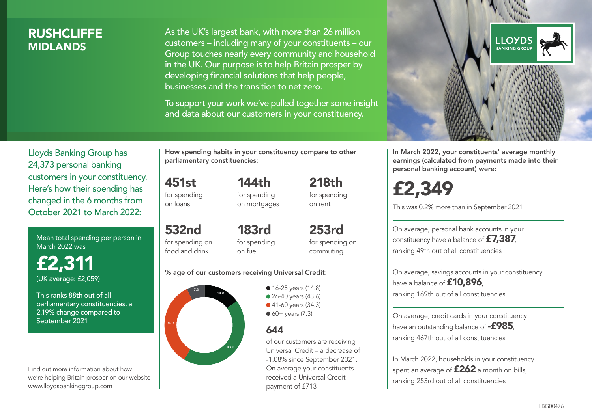### **RUSHCLIFFE MIDI ANDS**

As the UK's largest bank, with more than 26 million customers – including many of your constituents – our Group touches nearly every community and household in the UK. Our purpose is to help Britain prosper by developing financial solutions that help people, businesses and the transition to net zero.

To support your work we've pulled together some insight and data about our customers in your constituency.



Mean total spending per person in March 2022 was

£2,311 (UK average: £2,059)

This ranks 88th out of all parliamentary constituencies, a 2.19% change compared to September 2021

Find out more information about how we're helping Britain prosper on our website www.lloydsbankinggroup.com

How spending habits in your constituency compare to other parliamentary constituencies:

144th

451st for spending on loans

532nd for spending on food and drink

for spending on mortgages 218th for spending on rent

183rd for spending on fuel

253rd for spending on commuting

#### % age of our customers receiving Universal Credit:



• 16-25 years (14.8) • 26-40 years (43.6) ● 41-60 years (34.3)  $60+$  years (7.3)

### 644

of our customers are receiving Universal Credit – a decrease of -1.08% since September 2021. On average your constituents received a Universal Credit payment of £713



In March 2022, your constituents' average monthly earnings (calculated from payments made into their personal banking account) were:

£2,349

This was 0.2% more than in September 2021

On average, personal bank accounts in your constituency have a balance of £7,387, ranking 49th out of all constituencies

On average, savings accounts in your constituency have a balance of **£10,896**. ranking 169th out of all constituencies

On average, credit cards in your constituency have an outstanding balance of  $-$ £985. ranking 467th out of all constituencies

In March 2022, households in your constituency spent an average of **£262** a month on bills, ranking 253rd out of all constituencies